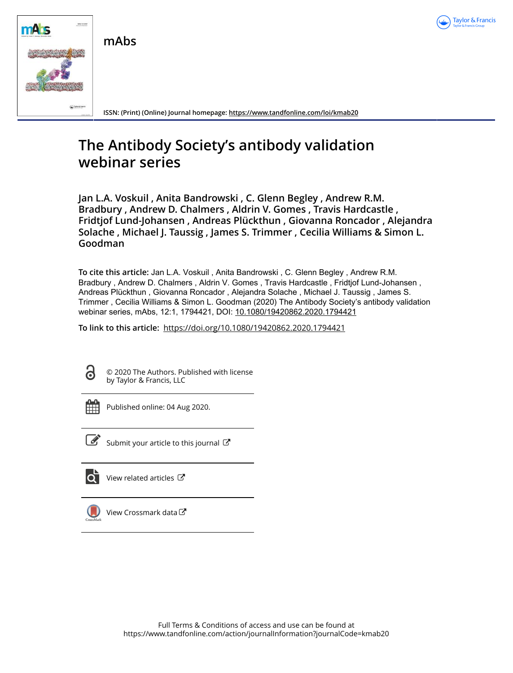

**mAbs**



**ISSN: (Print) (Online) Journal homepage:<https://www.tandfonline.com/loi/kmab20>**

# **The Antibody Society's antibody validation webinar series**

**Jan L.A. Voskuil , Anita Bandrowski , C. Glenn Begley , Andrew R.M. Bradbury , Andrew D. Chalmers , Aldrin V. Gomes , Travis Hardcastle , Fridtjof Lund-Johansen , Andreas Plückthun , Giovanna Roncador , Alejandra Solache , Michael J. Taussig , James S. Trimmer , Cecilia Williams & Simon L. Goodman**

**To cite this article:** Jan L.A. Voskuil , Anita Bandrowski , C. Glenn Begley , Andrew R.M. Bradbury , Andrew D. Chalmers , Aldrin V. Gomes , Travis Hardcastle , Fridtjof Lund-Johansen , Andreas Plückthun , Giovanna Roncador , Alejandra Solache , Michael J. Taussig , James S. Trimmer , Cecilia Williams & Simon L. Goodman (2020) The Antibody Society's antibody validation webinar series, mAbs, 12:1, 1794421, DOI: [10.1080/19420862.2020.1794421](https://www.tandfonline.com/action/showCitFormats?doi=10.1080/19420862.2020.1794421)

**To link to this article:** <https://doi.org/10.1080/19420862.2020.1794421>



© 2020 The Authors. Published with license by Taylor & Francis, LLC



Published online: 04 Aug 2020.



 $\overrightarrow{S}$  [Submit your article to this journal](https://www.tandfonline.com/action/authorSubmission?journalCode=kmab20&show=instructions)  $\overrightarrow{S}$ 



[View related articles](https://www.tandfonline.com/doi/mlt/10.1080/19420862.2020.1794421) C



[View Crossmark data](http://crossmark.crossref.org/dialog/?doi=10.1080/19420862.2020.1794421&domain=pdf&date_stamp=2020-08-04)<sup>で</sup>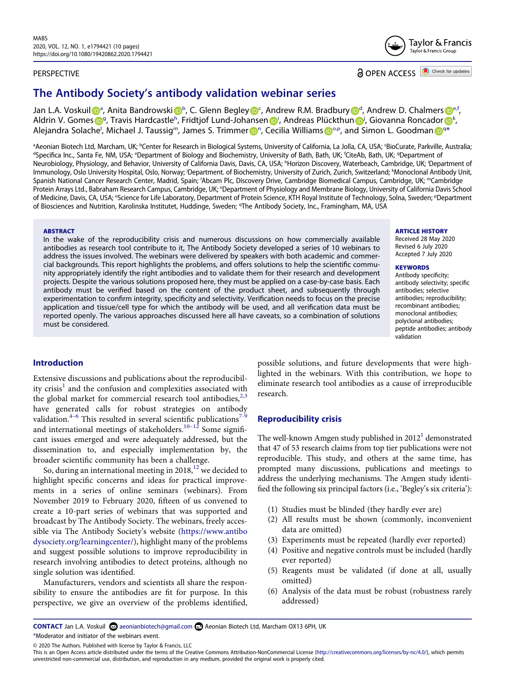# PERSPECTIVE



# **a** OPEN ACCESS **a** Check for updates

# **The Antibody Society's antibody validation webinar series**

J[a](#page-1-0)n L.A. Vosku[i](http://orcid.org/0000-0002-5497-0243)l Dª, Anita Bandrowski D[b](#page-1-0), C. Glenn Begle[y](http://orcid.org/0000-0002-5567-8172) DS, An[d](#page-1-1)rew R.M. Bradbury D<[s](http://orcid.org/0000-0003-4182-6717)up>d</sup>, Andrew D. Chalmers D<sup>e,f</sup>, Aldrin V. Gome[s](http://orcid.org/0000-0002-9819-3036) D<sup>[g](#page-1-1)</sup>, Travis Hardcastle<sup>[h](#page-1-2)</sup>, Fr[i](#page-1-2)dt[j](#page-1-3)of Lund-Johansen D<sup>i</sup>, Andreas Plüc[k](#page-1-3)thun D<sup>i</sup>, Giovanna Roncador D<sup>k</sup>, Alejandra Solache<sup>l</sup>, Micha[el](#page-1-4) J. Taussig<sup>[m](#page-1-4)</sup>, James S. T[r](http://orcid.org/0000-0002-6117-3912)immer D<sup>[n](http://orcid.org/0000-0002-3480-1346)</[s](http://orcid.org/0000-0002-0602-2062)up>, Cecilia Williams D<sup>o.p</sup>, and Simon L. Goodman D<sup>[q](#page-1-7)[\\*](#page-1-8)</sup>

<span id="page-1-5"></span><span id="page-1-4"></span><span id="page-1-3"></span><span id="page-1-2"></span><span id="page-1-1"></span><span id="page-1-0"></span><sup>a</sup>Aeonian Biotech Ltd, Marcham, UK; <sup>b</sup>Center for Research in Biological Systems, University of California, La Jolla, CA, USA; 'BioCurate, Parkville, Australia;<br><sup>d</sup>Specifica Inc. Santa Fe. NM. USA: 'Department of Biology Specifica Inc., Santa Fe, NM, USA; <sup>e</sup>Department of Biology and Biochemistry, University of Bath, Bath, UK; <sup>f</sup>CiteAb, Bath, UK; <sup>s</sup>Department of Neurobiology, Physiology, and Behavior, University of California Davis, Davis, CA, USA; <sup>h</sup>Horizon Discovery, Waterbeach, Cambridge, UK; <sup>i</sup>Department of lmmunology, Oslo University Hospital, Oslo, Norway; <sup>j</sup>Department. of Biochemistry, University of Zurich, Zurich, Switzerland; <sup>k</sup>Monoclonal Antibody Unit, Spanish National Cancer Research Center, Madrid, Spain; <sup>I</sup>Abcam Plc, Discovery Drive, Cambridge Biomedical Campus, Cambridge, UK; <sup>m</sup>Cambridge Protein Arrays Ltd., Babraham Research Campus, Cambridge, UK; "Department of Physiology and Membrane Biology, University of California Davis School of Medicine, Davis, CA, USA; °Science for Life Laboratory, Department of Protein Science, KTH Royal Institute of Technology, Solna, Sweden; °Department of Biosciences and Nutrition, Karolinska Institutet, Huddinge, Sweden; q The Antibody Society, Inc., Framingham, MA, USA

#### <span id="page-1-7"></span><span id="page-1-6"></span>**ABSTRACT**

In the wake of the reproducibility crisis and numerous discussions on how commercially available antibodies as research tool contribute to it, The Antibody Society developed a series of 10 webinars to address the issues involved. The webinars were delivered by speakers with both academic and commercial backgrounds. This report highlights the problems, and offers solutions to help the scientific community appropriately identify the right antibodies and to validate them for their research and development projects. Despite the various solutions proposed here, they must be applied on a case-by-case basis. Each antibody must be verified based on the content of the product sheet, and subsequently through experimentation to confirm integrity, specificity and selectivity. Verification needs to focus on the precise application and tissue/cell type for which the antibody will be used, and all verification data must be reported openly. The various approaches discussed here all have caveats, so a combination of solutions must be considered.

#### **ARTICLE HISTORY**

Received 28 May 2020 Revised 6 July 2020 Accepted 7 July 2020

#### **KEYWORDS**

Antibody specificity; antibody selectivity; specific antibodies; selective antibodies; reproducibility; recombinant antibodies; monoclonal antibodies; polyclonal antibodies; peptide antibodies; antibody validation

# **Introduction**

<span id="page-1-11"></span><span id="page-1-10"></span>Extensive discussions and publications about the reproducibility crisis<sup>1</sup> and the confusion and complexities associated with the global market for commercial research tool antibodies, $2,3$  $2,3$ have generated calls for robust strategies on antibody validation.<sup>4–6</sup> This resulted in several scientific publications<sup>7–9</sup> and international meetings of stakeholders.<sup>[10](#page-10-1)[–12](#page-10-2)</sup> Some significant issues emerged and were adequately addressed, but the dissemination to, and especially implementation by, the broader scientific community has been a challenge.

<span id="page-1-12"></span>So, during an international meeting in  $2018$ ,<sup>[12](#page-10-2)</sup> we decided to highlight specific concerns and ideas for practical improvements in a series of online seminars (webinars). From November 2019 to February 2020, fifteen of us convened to create a 10-part series of webinars that was supported and broadcast by The Antibody Society. The webinars, freely accessible via The Antibody Society's website [\(https://www.antibo](https://www.antibodysociety.org/learningcenter/) [dysociety.org/learningcenter/\)](https://www.antibodysociety.org/learningcenter/), highlight many of the problems and suggest possible solutions to improve reproducibility in research involving antibodies to detect proteins, although no single solution was identified.

Manufacturers, vendors and scientists all share the responsibility to ensure the antibodies are fit for purpose. In this perspective, we give an overview of the problems identified, possible solutions, and future developments that were highlighted in the webinars. With this contribution, we hope to eliminate research tool antibodies as a cause of irreproducible research.

# **Reproducibility crisis**

<span id="page-1-9"></span>The well-known Amgen study published in  $2012<sup>1</sup>$  $2012<sup>1</sup>$  $2012<sup>1</sup>$  demonstrated that 47 of 53 research claims from top tier publications were not reproducible. This study, and others at the same time, has prompted many discussions, publications and meetings to address the underlying mechanisms. The Amgen study identified the following six principal factors (i.e., 'Begley's six criteria'):

- (1) Studies must be blinded (they hardly ever are)
- (2) All results must be shown (commonly, inconvenient data are omitted)
- (3) Experiments must be repeated (hardly ever reported)
- (4) Positive and negative controls must be included (hardly ever reported)
- (5) Reagents must be validated (if done at all, usually omitted)
- (6) Analysis of the data must be robust (robustness rarely addressed)

<span id="page-1-8"></span>**CONTACT** Jan L.A. Voskuil aeonianbiotech@gmail.com **A**eonian Biotech Ltd, Marcham OX13 6PH, UK \*Moderator and initiator of the webinars event.

© 2020 The Authors. Published with license by Taylor & Francis, LLC

This is an Open Access article distributed under the terms of the Creative Commons Attribution-NonCommercial License (http://creativecommons.org/licenses/by-nc/4.0/), which permits unrestricted non-commercial use, distribution, and reproduction in any medium, provided the original work is properly cited.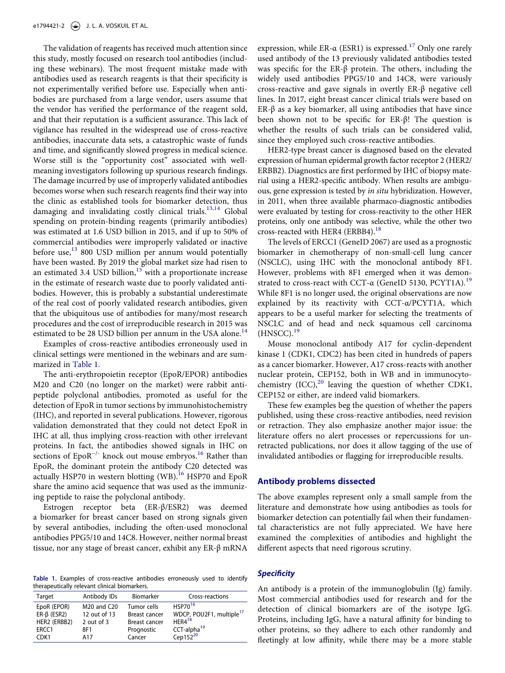The validation of reagents has received much attention since this study, mostly focused on research tool antibodies (including these webinars). The most frequent mistake made with antibodies used as research reagents is that their specificity is not experimentally verified before use. Especially when antibodies are purchased from a large vendor, users assume that the vendor has verified the performance of the reagent sold, and that their reputation is a sufficient assurance. This lack of vigilance has resulted in the widespread use of cross-reactive antibodies, inaccurate data sets, a catastrophic waste of funds and time, and significantly slowed progress in medical science. Worse still is the "opportunity cost" associated with wellmeaning investigators following up spurious research findings. The damage incurred by use of improperly validated antibodies becomes worse when such research reagents find their way into the clinic as established tools for biomarker detection, thus damaging and invalidating costly clinical trials.<sup>[13,](#page-10-3)14</sup> Global spending on protein-binding reagents (primarily antibodies) was estimated at 1.6 USD billion in 2015, and if up to 50% of commercial antibodies were improperly validated or inactive before use,<sup>13</sup> 800 USD million per annum would potentially have been wasted. By 2019 the global market size had risen to an estimated 3.4 USD billion, $15$  with a proportionate increase in the estimate of research waste due to poorly validated antibodies. However, this is probably a substantial underestimate of the real cost of poorly validated research antibodies, given that the ubiquitous use of antibodies for many/most research procedures and the cost of irreproducible research in 2015 was estimated to be 28 USD billion per annum in the USA alone. $14$ 

<span id="page-2-3"></span><span id="page-2-2"></span><span id="page-2-1"></span>Examples of cross-reactive antibodies erroneously used in clinical settings were mentioned in the webinars and are summarized in [Table 1](#page-2-0).

The anti-erythropoietin receptor (EpoR/EPOR) antibodies M20 and C20 (no longer on the market) were rabbit antipeptide polyclonal antibodies, promoted as useful for the detection of EpoR in tumor sections by immunohistochemistry (IHC), and reported in several publications. However, rigorous validation demonstrated that they could not detect EpoR in IHC at all, thus implying cross-reaction with other irrelevant proteins. In fact, the antibodies showed signals in IHC on sections of EpoR<sup>-/-</sup> knock out mouse embryos.<sup>16</sup> Rather than EpoR, the dominant protein the antibody C20 detected was actually HSP70 in western blotting  $(WB)$ .<sup>16</sup> HSP70 and EpoR share the amino acid sequence that was used as the immunizing peptide to raise the polyclonal antibody.

Estrogen receptor beta (ER-β/ESR2) was deemed a biomarker for breast cancer based on strong signals given by several antibodies, including the often-used monoclonal antibodies PPG5/10 and 14C8. However, neither normal breast tissue, nor any stage of breast cancer, exhibit any ER-β mRNA

<span id="page-2-0"></span>**Table 1.** Examples of cross-reactive antibodies erroneously used to identify therapeutically relevant clinical biomarkers.

| Target            | Antibody IDs | <b>Biomarker</b> | Cross-reactions                      |
|-------------------|--------------|------------------|--------------------------------------|
| EpoR (EPOR)       | M20 and C20  | Tumor cells      | HSP70 <sup>16</sup>                  |
| $ER-\beta$ (ESR2) | 12 out of 13 | Breast cancer    | WDCP, POU2F1, multiple <sup>17</sup> |
| HER2 (ERBB2)      | 2 out of $3$ | Breast cancer    | $HFR4^{18}$                          |
| ERCC1             | 8F1          | Prognostic       | CCT-alpha <sup>19</sup>              |
| CDK <sub>1</sub>  | A17          | Cancer           | Cep152 $20$                          |

expression, while ER- $\alpha$  (ESR1) is expressed.<sup>[17](#page-10-7)</sup> Only one rarely used antibody of the 13 previously validated antibodies tested was specific for the ER-β protein. The others, including the widely used antibodies PPG5/10 and 14C8, were variously cross-reactive and gave signals in overtly ER-β negative cell lines. In 2017, eight breast cancer clinical trials were based on ER-β as a key biomarker, all using antibodies that have since been shown not to be specific for ER-β! The question is whether the results of such trials can be considered valid, since they employed such cross-reactive antibodies.

HER2-type breast cancer is diagnosed based on the elevated expression of human epidermal growth factor receptor 2 (HER2/ ERBB2). Diagnostics are first performed by IHC of biopsy material using a HER2-specific antibody. When results are ambiguous, gene expression is tested by *in situ* hybridization. However, in 2011, when three available pharmaco-diagnostic antibodies were evaluated by testing for cross-reactivity to the other HER proteins, only one antibody was selective, while the other two cross-reacted with HER4 (ERBB4).<sup>18</sup>

The levels of ERCC1 (GeneID 2067) are used as a prognostic biomarker in chemotherapy of non-small-cell lung cancer (NSCLC), using IHC with the monoclonal antibody 8F1. However, problems with 8F1 emerged when it was demon-strated to cross-react with CCT-α (GeneID 5130, PCYT1A).<sup>[19](#page-10-9)</sup> While 8F1 is no longer used, the original observations are now explained by its reactivity with CCT-α/PCYT1A, which appears to be a useful marker for selecting the treatments of NSCLC and of head and neck squamous cell carcinoma  $(HNSCC).$ <sup>19</sup>

Mouse monoclonal antibody A17 for cyclin-dependent kinase 1 (CDK1, CDC2) has been cited in hundreds of papers as a cancer biomarker. However, A17 cross-reacts with another nuclear protein, CEP152, both in WB and in immunocytochemistry  ${(ICC)}_2^{20}$  leaving the question of whether CDK1, CEP152 or either, are indeed valid biomarkers.

These few examples beg the question of whether the papers published, using these cross-reactive antibodies, need revision or retraction. They also emphasize another major issue: the literature offers no alert processes or repercussions for unretracted publications, nor does it allow tagging of the use of invalidated antibodies or flagging for irreproducible results.

#### **Antibody problems dissected**

The above examples represent only a small sample from the literature and demonstrate how using antibodies as tools for biomarker detection can potentially fail when their fundamental characteristics are not fully appreciated. We have here examined the complexities of antibodies and highlight the different aspects that need rigorous scrutiny.

# *Specificity*

<span id="page-2-8"></span><span id="page-2-7"></span><span id="page-2-6"></span><span id="page-2-5"></span><span id="page-2-4"></span>An antibody is a protein of the immunoglobulin (Ig) family. Most commercial antibodies used for research and for the detection of clinical biomarkers are of the isotype IgG. Proteins, including IgG, have a natural affinity for binding to other proteins, so they adhere to each other randomly and fleetingly at low affinity, while there may be a more stable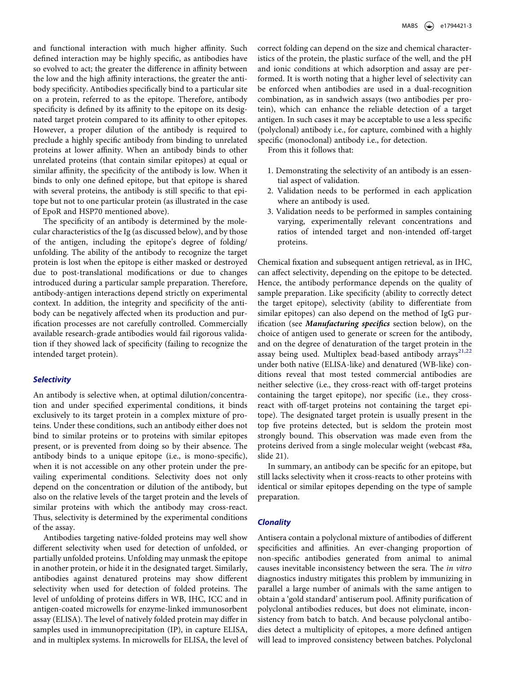and functional interaction with much higher affinity. Such defined interaction may be highly specific, as antibodies have so evolved to act; the greater the difference in affinity between the low and the high affinity interactions, the greater the antibody specificity. Antibodies specifically bind to a particular site on a protein, referred to as the epitope. Therefore, antibody specificity is defined by its affinity to the epitope on its designated target protein compared to its affinity to other epitopes. However, a proper dilution of the antibody is required to preclude a highly specific antibody from binding to unrelated proteins at lower affinity. When an antibody binds to other unrelated proteins (that contain similar epitopes) at equal or similar affinity, the specificity of the antibody is low. When it binds to only one defined epitope, but that epitope is shared with several proteins, the antibody is still specific to that epitope but not to one particular protein (as illustrated in the case of EpoR and HSP70 mentioned above).

The specificity of an antibody is determined by the molecular characteristics of the Ig (as discussed below), and by those of the antigen, including the epitope's degree of folding/ unfolding. The ability of the antibody to recognize the target protein is lost when the epitope is either masked or destroyed due to post-translational modifications or due to changes introduced during a particular sample preparation. Therefore, antibody-antigen interactions depend strictly on experimental context. In addition, the integrity and specificity of the antibody can be negatively affected when its production and purification processes are not carefully controlled. Commercially available research-grade antibodies would fail rigorous validation if they showed lack of specificity (failing to recognize the intended target protein).

# *Selectivity*

An antibody is selective when, at optimal dilution/concentration and under specified experimental conditions, it binds exclusively to its target protein in a complex mixture of proteins. Under these conditions, such an antibody either does not bind to similar proteins or to proteins with similar epitopes present, or is prevented from doing so by their absence. The antibody binds to a unique epitope (i.e., is mono-specific), when it is not accessible on any other protein under the prevailing experimental conditions. Selectivity does not only depend on the concentration or dilution of the antibody, but also on the relative levels of the target protein and the levels of similar proteins with which the antibody may cross-react. Thus, selectivity is determined by the experimental conditions of the assay.

Antibodies targeting native-folded proteins may well show different selectivity when used for detection of unfolded, or partially unfolded proteins. Unfolding may unmask the epitope in another protein, or hide it in the designated target. Similarly, antibodies against denatured proteins may show different selectivity when used for detection of folded proteins. The level of unfolding of proteins differs in WB, IHC, ICC and in antigen-coated microwells for enzyme-linked immunosorbent assay (ELISA). The level of natively folded protein may differ in samples used in immunoprecipitation (IP), in capture ELISA, and in multiplex systems. In microwells for ELISA, the level of correct folding can depend on the size and chemical characteristics of the protein, the plastic surface of the well, and the pH and ionic conditions at which adsorption and assay are performed. It is worth noting that a higher level of selectivity can be enforced when antibodies are used in a dual-recognition combination, as in sandwich assays (two antibodies per protein), which can enhance the reliable detection of a target antigen. In such cases it may be acceptable to use a less specific (polyclonal) antibody i.e., for capture, combined with a highly specific (monoclonal) antibody i.e., for detection.

From this it follows that:

- 1. Demonstrating the selectivity of an antibody is an essential aspect of validation.
- 2. Validation needs to be performed in each application where an antibody is used.
- 3. Validation needs to be performed in samples containing varying, experimentally relevant concentrations and ratios of intended target and non-intended off-target proteins.

<span id="page-3-0"></span>Chemical fixation and subsequent antigen retrieval, as in IHC, can affect selectivity, depending on the epitope to be detected. Hence, the antibody performance depends on the quality of sample preparation. Like specificity (ability to correctly detect the target epitope), selectivity (ability to differentiate from similar epitopes) can also depend on the method of IgG purification (see *Manufacturing specifics* section below), on the choice of antigen used to generate or screen for the antibody, and on the degree of denaturation of the target protein in the assay being used. Multiplex bead-based antibody arrays<sup>[21](#page-10-11),22</sup> under both native (ELISA-like) and denatured (WB-like) conditions reveal that most tested commercial antibodies are neither selective (i.e., they cross-react with off-target proteins containing the target epitope), nor specific (i.e., they crossreact with off-target proteins not containing the target epitope). The designated target protein is usually present in the top five proteins detected, but is seldom the protein most strongly bound. This observation was made even from the proteins derived from a single molecular weight (webcast #8a, slide 21).

In summary, an antibody can be specific for an epitope, but still lacks selectivity when it cross-reacts to other proteins with identical or similar epitopes depending on the type of sample preparation.

# *Clonality*

Antisera contain a polyclonal mixture of antibodies of different specificities and affinities. An ever-changing proportion of non-specific antibodies generated from animal to animal causes inevitable inconsistency between the sera. The *in vitro*  diagnostics industry mitigates this problem by immunizing in parallel a large number of animals with the same antigen to obtain a 'gold standard' antiserum pool. Affinity purification of polyclonal antibodies reduces, but does not eliminate, inconsistency from batch to batch. And because polyclonal antibodies detect a multiplicity of epitopes, a more defined antigen will lead to improved consistency between batches. Polyclonal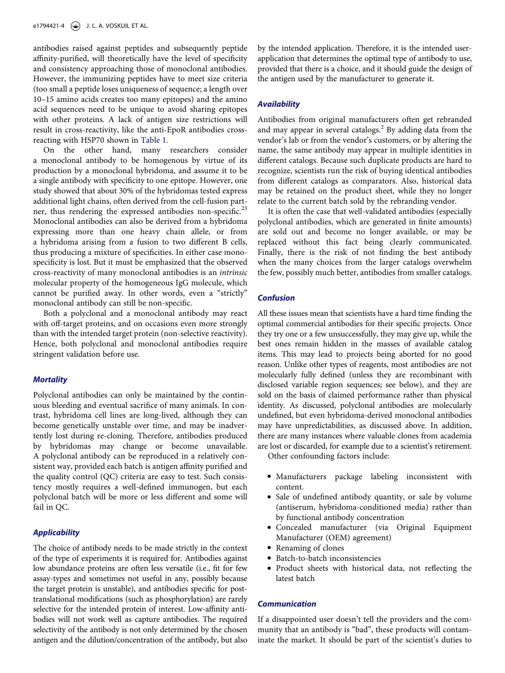antibodies raised against peptides and subsequently peptide affinity-purified, will theoretically have the level of specificity and consistency approaching those of monoclonal antibodies. However, the immunizing peptides have to meet size criteria (too small a peptide loses uniqueness of sequence; a length over 10–15 amino acids creates too many epitopes) and the amino acid sequences need to be unique to avoid sharing epitopes with other proteins. A lack of antigen size restrictions will result in cross-reactivity, like the anti-EpoR antibodies crossreacting with HSP70 shown in [Table 1.](#page-2-0)

<span id="page-4-0"></span>On the other hand, many researchers consider a monoclonal antibody to be homogenous by virtue of its production by a monoclonal hybridoma, and assume it to be a single antibody with specificity to one epitope. However, one study showed that about 30% of the hybridomas tested express additional light chains, often derived from the cell-fusion part-ner, thus rendering the expressed antibodies non-specific.<sup>[23](#page-10-13)</sup> Monoclonal antibodies can also be derived from a hybridoma expressing more than one heavy chain allele, or from a hybridoma arising from a fusion to two different B cells, thus producing a mixture of specificities. In either case monospecificity is lost. But it must be emphasized that the observed cross-reactivity of many monoclonal antibodies is an *intrinsic*  molecular property of the homogeneous IgG molecule, which cannot be purified away. In other words, even a "strictly" monoclonal antibody can still be non-specific.

Both a polyclonal and a monoclonal antibody may react with off-target proteins, and on occasions even more strongly than with the intended target protein (non-selective reactivity). Hence, both polyclonal and monoclonal antibodies require stringent validation before use.

#### *Mortality*

Polyclonal antibodies can only be maintained by the continuous bleeding and eventual sacrifice of many animals. In contrast, hybridoma cell lines are long-lived, although they can become genetically unstable over time, and may be inadvertently lost during re-cloning. Therefore, antibodies produced by hybridomas may change or become unavailable. A polyclonal antibody can be reproduced in a relatively consistent way, provided each batch is antigen affinity purified and the quality control (QC) criteria are easy to test. Such consistency mostly requires a well-defined immunogen, but each polyclonal batch will be more or less different and some will fail in QC.

# *Applicability*

The choice of antibody needs to be made strictly in the context of the type of experiments it is required for. Antibodies against low abundance proteins are often less versatile (i.e., fit for few assay-types and sometimes not useful in any, possibly because the target protein is unstable), and antibodies specific for posttranslational modifications (such as phosphorylation) are rarely selective for the intended protein of interest. Low-affinity antibodies will not work well as capture antibodies. The required selectivity of the antibody is not only determined by the chosen antigen and the dilution/concentration of the antibody, but also

by the intended application. Therefore, it is the intended userapplication that determines the optimal type of antibody to use, provided that there is a choice, and it should guide the design of the antigen used by the manufacturer to generate it.

# *Availability*

Antibodies from original manufacturers often get rebranded and may appear in several catalogs.<sup>2</sup> By adding data from the vendor's lab or from the vendor's customers, or by altering the name, the same antibody may appear in multiple identities in different catalogs. Because such duplicate products are hard to recognize, scientists run the risk of buying identical antibodies from different catalogs as comparators. Also, historical data may be retained on the product sheet, while they no longer relate to the current batch sold by the rebranding vendor.

It is often the case that well-validated antibodies (especially polyclonal antibodies, which are generated in finite amounts) are sold out and become no longer available, or may be replaced without this fact being clearly communicated. Finally, there is the risk of not finding the best antibody when the many choices from the larger catalogs overwhelm the few, possibly much better, antibodies from smaller catalogs.

# *Confusion*

All these issues mean that scientists have a hard time finding the optimal commercial antibodies for their specific projects. Once they try one or a few unsuccessfully, they may give up, while the best ones remain hidden in the masses of available catalog items. This may lead to projects being aborted for no good reason. Unlike other types of reagents, most antibodies are not molecularly fully defined (unless they are recombinant with disclosed variable region sequences; see below), and they are sold on the basis of claimed performance rather than physical identity. As discussed, polyclonal antibodies are molecularly undefined, but even hybridoma-derived monoclonal antibodies may have unpredictabilities, as discussed above. In addition, there are many instances where valuable clones from academia are lost or discarded, for example due to a scientist's retirement.

Other confounding factors include:

- Manufacturers package labeling inconsistent with content.
- Sale of undefined antibody quantity, or sale by volume (antiserum, hybridoma-conditioned media) rather than by functional antibody concentration
- Concealed manufacturer (via Original Equipment Manufacturer (OEM) agreement)
- Renaming of clones
- Batch-to-batch inconsistencies
- Product sheets with historical data, not reflecting the latest batch

#### *Communication*

If a disappointed user doesn't tell the providers and the community that an antibody is "bad", these products will contaminate the market. It should be part of the scientist's duties to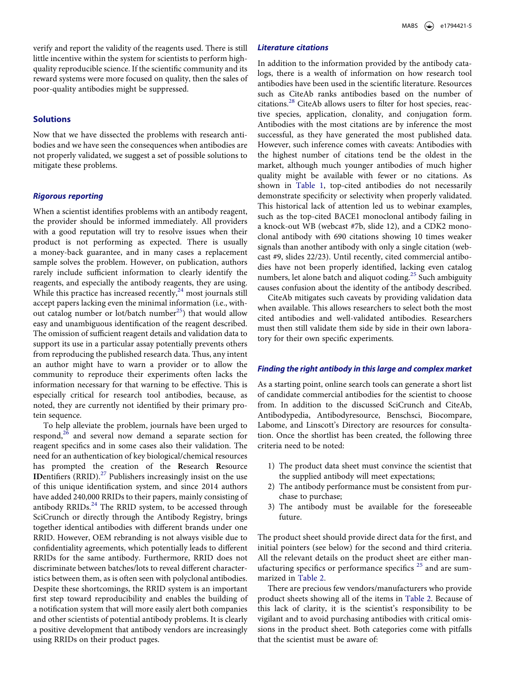verify and report the validity of the reagents used. There is still little incentive within the system for scientists to perform highquality reproducible science. If the scientific community and its reward systems were more focused on quality, then the sales of poor-quality antibodies might be suppressed.

# **Solutions**

Now that we have dissected the problems with research antibodies and we have seen the consequences when antibodies are not properly validated, we suggest a set of possible solutions to mitigate these problems.

# *Rigorous reporting*

When a scientist identifies problems with an antibody reagent, the provider should be informed immediately. All providers with a good reputation will try to resolve issues when their product is not performing as expected. There is usually a money-back guarantee, and in many cases a replacement sample solves the problem. However, on publication, authors rarely include sufficient information to clearly identify the reagents, and especially the antibody reagents, they are using. While this practice has increased recently,<sup>24</sup> most journals still accept papers lacking even the minimal information (i.e., without catalog number or lot/batch number<sup>25</sup>) that would allow easy and unambiguous identification of the reagent described. The omission of sufficient reagent details and validation data to support its use in a particular assay potentially prevents others from reproducing the published research data. Thus, any intent an author might have to warn a provider or to allow the community to reproduce their experiments often lacks the information necessary for that warning to be effective. This is especially critical for research tool antibodies, because, as noted, they are currently not identified by their primary protein sequence.

<span id="page-5-2"></span><span id="page-5-1"></span>To help alleviate the problem, journals have been urged to respond, $26$  and several now demand a separate section for reagent specifics and in some cases also their validation. The need for an authentication of key biological/chemical resources has prompted the creation of the **R**esearch **R**esource **IDentifiers** (RRID).<sup>27</sup> Publishers increasingly insist on the use of this unique identification system, and since 2014 authors have added 240,000 RRIDs to their papers, mainly consisting of antibody RRIDs.<sup>[24](#page-10-14)</sup> The RRID system, to be accessed through SciCrunch or directly through the Antibody Registry, brings together identical antibodies with different brands under one RRID. However, OEM rebranding is not always visible due to confidentiality agreements, which potentially leads to different RRIDs for the same antibody. Furthermore, RRID does not discriminate between batches/lots to reveal different characteristics between them, as is often seen with polyclonal antibodies. Despite these shortcomings, the RRID system is an important first step toward reproducibility and enables the building of a notification system that will more easily alert both companies and other scientists of potential antibody problems. It is clearly a positive development that antibody vendors are increasingly using RRIDs on their product pages.

#### *Literature citations*

<span id="page-5-3"></span>In addition to the information provided by the antibody catalogs, there is a wealth of information on how research tool antibodies have been used in the scientific literature. Resources such as CiteAb ranks antibodies based on the number of citations.[28](#page-10-18) CiteAb allows users to filter for host species, reactive species, application, clonality, and conjugation form. Antibodies with the most citations are by inference the most successful, as they have generated the most published data. However, such inference comes with caveats: Antibodies with the highest number of citations tend be the oldest in the market, although much younger antibodies of much higher quality might be available with fewer or no citations. As shown in [Table 1,](#page-2-0) top-cited antibodies do not necessarily demonstrate specificity or selectivity when properly validated. This historical lack of attention led us to webinar examples, such as the top-cited BACE1 monoclonal antibody failing in a knock-out WB (webcast #7b, slide 12), and a CDK2 monoclonal antibody with 690 citations showing 10 times weaker signals than another antibody with only a single citation (webcast #9, slides 22/23). Until recently, cited commercial antibodies have not been properly identified, lacking even catalog numbers, let alone batch and aliquot coding.<sup>25</sup> Such ambiguity causes confusion about the identity of the antibody described.

CiteAb mitigates such caveats by providing validation data when available. This allows researchers to select both the most cited antibodies and well-validated antibodies. Researchers must then still validate them side by side in their own laboratory for their own specific experiments.

#### *Finding the right antibody in this large and complex market*

As a starting point, online search tools can generate a short list of candidate commercial antibodies for the scientist to choose from. In addition to the discussed SciCrunch and CiteAb, Antibodypedia, Antibodyresource, Benschsci, Biocompare, Labome, and Linscott's Directory are resources for consultation. Once the shortlist has been created, the following three criteria need to be noted:

- 1) The product data sheet must convince the scientist that the supplied antibody will meet expectations;
- 2) The antibody performance must be consistent from purchase to purchase;
- 3) The antibody must be available for the foreseeable future.

The product sheet should provide direct data for the first, and initial pointers (see below) for the second and third criteria. All the relevant details on the product sheet are either man-ufacturing specifics or performance specifics<sup>[25](#page-10-15)</sup> and are summarized in [Table 2](#page-6-0).

<span id="page-5-0"></span>There are precious few vendors/manufacturers who provide product sheets showing all of the items in [Table 2.](#page-6-0) Because of this lack of clarity, it is the scientist's responsibility to be vigilant and to avoid purchasing antibodies with critical omissions in the product sheet. Both categories come with pitfalls that the scientist must be aware of: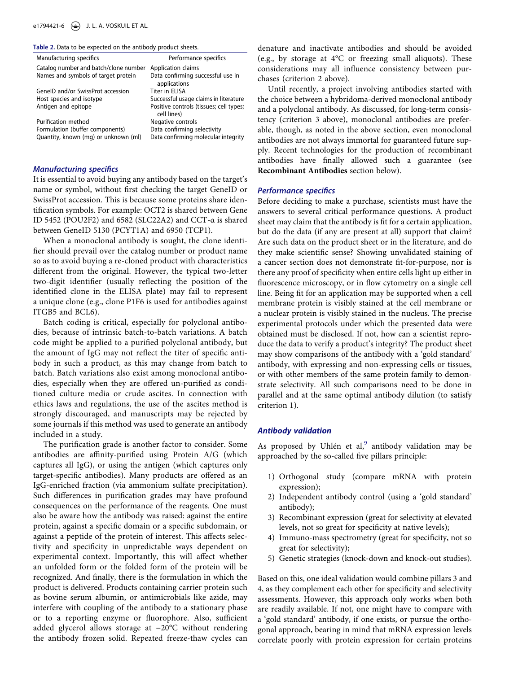<span id="page-6-0"></span>**Table 2.** Data to be expected on the antibody product sheets.

| Manufacturing specifics               | Performance specifics                                  |
|---------------------------------------|--------------------------------------------------------|
| Catalog number and batch/clone number | Application claims                                     |
| Names and symbols of target protein   | Data confirming successful use in<br>applications      |
| GenelD and/or SwissProt accession     | Titer in FLISA                                         |
| Host species and isotype              | Successful usage claims in literature                  |
| Antigen and epitope                   | Positive controls (tissues; cell types;<br>cell lines) |
| Purification method                   | Negative controls                                      |
| Formulation (buffer components)       | Data confirming selectivity                            |
| Quantity, known (mg) or unknown (ml)  | Data confirming molecular integrity                    |
|                                       |                                                        |

# *Manufacturing specifics*

It is essential to avoid buying any antibody based on the target's name or symbol, without first checking the target GeneID or SwissProt accession. This is because some proteins share identification symbols. For example: OCT2 is shared between Gene ID 5452 (POU2F2) and 6582 (SLC22A2) and CCT-α is shared between GeneID 5130 (PCYT1A) and 6950 (TCP1).

When a monoclonal antibody is sought, the clone identifier should prevail over the catalog number or product name so as to avoid buying a re-cloned product with characteristics different from the original. However, the typical two-letter two-digit identifier (usually reflecting the position of the identified clone in the ELISA plate) may fail to represent a unique clone (e.g., clone P1F6 is used for antibodies against ITGB5 and BCL6).

Batch coding is critical, especially for polyclonal antibodies, because of intrinsic batch-to-batch variations. A batch code might be applied to a purified polyclonal antibody, but the amount of IgG may not reflect the titer of specific antibody in such a product, as this may change from batch to batch. Batch variations also exist among monoclonal antibodies, especially when they are offered un-purified as conditioned culture media or crude ascites. In connection with ethics laws and regulations, the use of the ascites method is strongly discouraged, and manuscripts may be rejected by some journals if this method was used to generate an antibody included in a study.

The purification grade is another factor to consider. Some antibodies are affinity-purified using Protein A/G (which captures all IgG), or using the antigen (which captures only target-specific antibodies). Many products are offered as an IgG-enriched fraction (via ammonium sulfate precipitation). Such differences in purification grades may have profound consequences on the performance of the reagents. One must also be aware how the antibody was raised: against the entire protein, against a specific domain or a specific subdomain, or against a peptide of the protein of interest. This affects selectivity and specificity in unpredictable ways dependent on experimental context. Importantly, this will affect whether an unfolded form or the folded form of the protein will be recognized. And finally, there is the formulation in which the product is delivered. Products containing carrier protein such as bovine serum albumin, or antimicrobials like azide, may interfere with coupling of the antibody to a stationary phase or to a reporting enzyme or fluorophore. Also, sufficient added glycerol allows storage at −20°C without rendering the antibody frozen solid. Repeated freeze-thaw cycles can denature and inactivate antibodies and should be avoided (e.g., by storage at 4°C or freezing small aliquots). These considerations may all influence consistency between purchases (criterion 2 above).

Until recently, a project involving antibodies started with the choice between a hybridoma-derived monoclonal antibody and a polyclonal antibody. As discussed, for long-term consistency (criterion 3 above), monoclonal antibodies are preferable, though, as noted in the above section, even monoclonal antibodies are not always immortal for guaranteed future supply. Recent technologies for the production of recombinant antibodies have finally allowed such a guarantee (see **Recombinant Antibodies** section below).

#### *Performance specifics*

Before deciding to make a purchase, scientists must have the answers to several critical performance questions. A product sheet may claim that the antibody is fit for a certain application, but do the data (if any are present at all) support that claim? Are such data on the product sheet or in the literature, and do they make scientific sense? Showing unvalidated staining of a cancer section does not demonstrate fit-for-purpose, nor is there any proof of specificity when entire cells light up either in fluorescence microscopy, or in flow cytometry on a single cell line. Being fit for an application may be supported when a cell membrane protein is visibly stained at the cell membrane or a nuclear protein is visibly stained in the nucleus. The precise experimental protocols under which the presented data were obtained must be disclosed. If not, how can a scientist reproduce the data to verify a product's integrity? The product sheet may show comparisons of the antibody with a 'gold standard' antibody, with expressing and non-expressing cells or tissues, or with other members of the same protein family to demonstrate selectivity. All such comparisons need to be done in parallel and at the same optimal antibody dilution (to satisfy criterion 1).

#### *Antibody validation*

As proposed by Uhlén et al, $9$  antibody validation may be approached by the so-called five pillars principle:

- 1) Orthogonal study (compare mRNA with protein expression);
- 2) Independent antibody control (using a 'gold standard' antibody);
- 3) Recombinant expression (great for selectivity at elevated levels, not so great for specificity at native levels);
- 4) Immuno-mass spectrometry (great for specificity, not so great for selectivity);
- 5) Genetic strategies (knock-down and knock-out studies).

Based on this, one ideal validation would combine pillars 3 and 4, as they complement each other for specificity and selectivity assessments. However, this approach only works when both are readily available. If not, one might have to compare with a 'gold standard' antibody, if one exists, or pursue the orthogonal approach, bearing in mind that mRNA expression levels correlate poorly with protein expression for certain proteins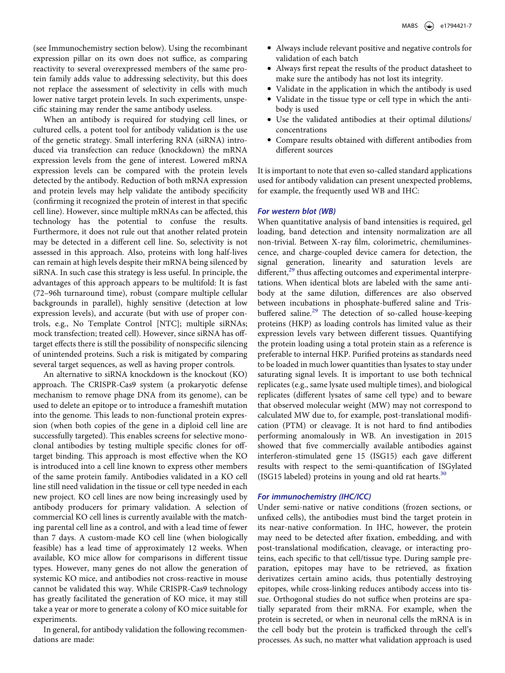(see Immunochemistry section below). Using the recombinant expression pillar on its own does not suffice, as comparing reactivity to several overexpressed members of the same protein family adds value to addressing selectivity, but this does not replace the assessment of selectivity in cells with much lower native target protein levels. In such experiments, unspecific staining may render the same antibody useless.

When an antibody is required for studying cell lines, or cultured cells, a potent tool for antibody validation is the use of the genetic strategy. Small interfering RNA (siRNA) introduced via transfection can reduce (knockdown) the mRNA expression levels from the gene of interest. Lowered mRNA expression levels can be compared with the protein levels detected by the antibody. Reduction of both mRNA expression and protein levels may help validate the antibody specificity (confirming it recognized the protein of interest in that specific cell line). However, since multiple mRNAs can be affected, this technology has the potential to confuse the results. Furthermore, it does not rule out that another related protein may be detected in a different cell line. So, selectivity is not assessed in this approach. Also, proteins with long half-lives can remain at high levels despite their mRNA being silenced by siRNA. In such case this strategy is less useful. In principle, the advantages of this approach appears to be multifold: It is fast (72–96h turnaround time), robust (compare multiple cellular backgrounds in parallel), highly sensitive (detection at low expression levels), and accurate (but with use of proper controls, e.g., No Template Control [NTC]; multiple siRNAs; mock transfection; treated cell). However, since siRNA has offtarget effects there is still the possibility of nonspecific silencing of unintended proteins. Such a risk is mitigated by comparing several target sequences, as well as having proper controls.

An alternative to siRNA knockdown is the knockout (KO) approach. The CRISPR-Cas9 system (a prokaryotic defense mechanism to remove phage DNA from its genome), can be used to delete an epitope or to introduce a frameshift mutation into the genome. This leads to non-functional protein expression (when both copies of the gene in a diploid cell line are successfully targeted). This enables screens for selective monoclonal antibodies by testing multiple specific clones for offtarget binding. This approach is most effective when the KO is introduced into a cell line known to express other members of the same protein family. Antibodies validated in a KO cell line still need validation in the tissue or cell type needed in each new project. KO cell lines are now being increasingly used by antibody producers for primary validation. A selection of commercial KO cell lines is currently available with the matching parental cell line as a control, and with a lead time of fewer than 7 days. A custom-made KO cell line (when biologically feasible) has a lead time of approximately 12 weeks. When available, KO mice allow for comparisons in different tissue types. However, many genes do not allow the generation of systemic KO mice, and antibodies not cross-reactive in mouse cannot be validated this way. While CRISPR-Cas9 technology has greatly facilitated the generation of KO mice, it may still take a year or more to generate a colony of KO mice suitable for experiments.

In general, for antibody validation the following recommendations are made:

- Always include relevant positive and negative controls for validation of each batch
- Always first repeat the results of the product datasheet to make sure the antibody has not lost its integrity.
- Validate in the application in which the antibody is used
- Validate in the tissue type or cell type in which the antibody is used
- Use the validated antibodies at their optimal dilutions/ concentrations
- Compare results obtained with different antibodies from different sources

It is important to note that even so-called standard applications used for antibody validation can present unexpected problems, for example, the frequently used WB and IHC:

# *For western blot (WB)*

<span id="page-7-0"></span>When quantitative analysis of band intensities is required, gel loading, band detection and intensity normalization are all non-trivial. Between X-ray film, colorimetric, chemiluminescence, and charge-coupled device camera for detection, the signal generation, linearity and saturation levels are different, $29$  thus affecting outcomes and experimental interpretations. When identical blots are labeled with the same antibody at the same dilution, differences are also observed between incubations in phosphate-buffered saline and Tris-buffered saline.<sup>[29](#page-10-19)</sup> The detection of so-called house-keeping proteins (HKP) as loading controls has limited value as their expression levels vary between different tissues. Quantifying the protein loading using a total protein stain as a reference is preferable to internal HKP. Purified proteins as standards need to be loaded in much lower quantities than lysates to stay under saturating signal levels. It is important to use both technical replicates (e.g., same lysate used multiple times), and biological replicates (different lysates of same cell type) and to beware that observed molecular weight (MW) may not correspond to calculated MW due to, for example, post-translational modification (PTM) or cleavage. It is not hard to find antibodies performing anomalously in WB. An investigation in 2015 showed that five commercially available antibodies against interferon-stimulated gene 15 (ISG15) each gave different results with respect to the semi-quantification of ISGylated (ISG15 labeled) proteins in young and old rat hearts.<sup>[30](#page-10-20)</sup>

# <span id="page-7-1"></span>*For immunochemistry (IHC/ICC)*

Under semi-native or native conditions (frozen sections, or unfixed cells), the antibodies must bind the target protein in its near-native conformation. In IHC, however, the protein may need to be detected after fixation, embedding, and with post-translational modification, cleavage, or interacting proteins, each specific to that cell/tissue type. During sample preparation, epitopes may have to be retrieved, as fixation derivatizes certain amino acids, thus potentially destroying epitopes, while cross-linking reduces antibody access into tissue. Orthogonal studies do not suffice when proteins are spatially separated from their mRNA. For example, when the protein is secreted, or when in neuronal cells the mRNA is in the cell body but the protein is trafficked through the cell's processes. As such, no matter what validation approach is used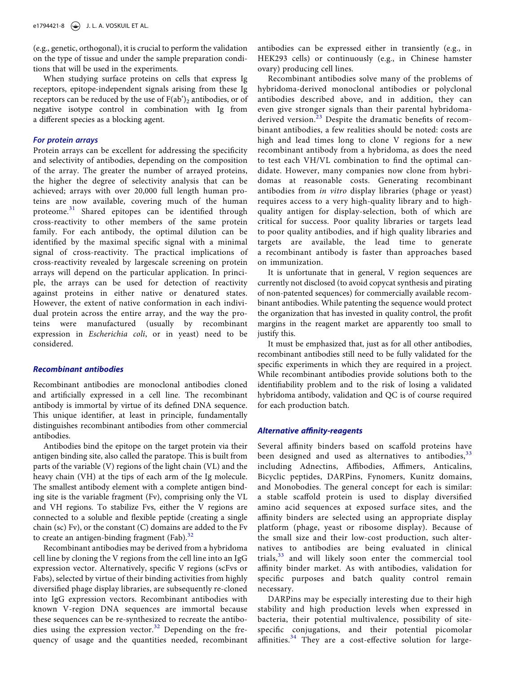(e.g., genetic, orthogonal), it is crucial to perform the validation on the type of tissue and under the sample preparation conditions that will be used in the experiments.

When studying surface proteins on cells that express Ig receptors, epitope-independent signals arising from these Ig receptors can be reduced by the use of  $F(ab')_2$  antibodies, or of negative isotype control in combination with Ig from a different species as a blocking agent.

#### *For protein arrays*

Protein arrays can be excellent for addressing the specificity and selectivity of antibodies, depending on the composition of the array. The greater the number of arrayed proteins, the higher the degree of selectivity analysis that can be achieved; arrays with over 20,000 full length human proteins are now available, covering much of the human proteome.<sup>[31](#page-10-21)</sup> Shared epitopes can be identified through cross-reactivity to other members of the same protein family. For each antibody, the optimal dilution can be identified by the maximal specific signal with a minimal signal of cross-reactivity. The practical implications of cross-reactivity revealed by largescale screening on protein arrays will depend on the particular application. In principle, the arrays can be used for detection of reactivity against proteins in either native or denatured states. However, the extent of native conformation in each individual protein across the entire array, and the way the proteins were manufactured (usually by recombinant expression in *Escherichia coli*, or in yeast) need to be considered.

#### *Recombinant antibodies*

Recombinant antibodies are monoclonal antibodies cloned and artificially expressed in a cell line. The recombinant antibody is immortal by virtue of its defined DNA sequence. This unique identifier, at least in principle, fundamentally distinguishes recombinant antibodies from other commercial antibodies.

Antibodies bind the epitope on the target protein via their antigen binding site, also called the paratope. This is built from parts of the variable (V) regions of the light chain (VL) and the heavy chain (VH) at the tips of each arm of the Ig molecule. The smallest antibody element with a complete antigen binding site is the variable fragment (Fv), comprising only the VL and VH regions. To stabilize Fvs, either the V regions are connected to a soluble and flexible peptide (creating a single chain (sc) Fv), or the constant (C) domains are added to the Fv to create an antigen-binding fragment (Fab).<sup>32</sup>

<span id="page-8-0"></span>Recombinant antibodies may be derived from a hybridoma cell line by cloning the V regions from the cell line into an IgG expression vector. Alternatively, specific V regions (scFvs or Fabs), selected by virtue of their binding activities from highly diversified phage display libraries, are subsequently re-cloned into IgG expression vectors. Recombinant antibodies with known V-region DNA sequences are immortal because these sequences can be re-synthesized to recreate the antibodies using the expression vector. $32$  Depending on the frequency of usage and the quantities needed, recombinant antibodies can be expressed either in transiently (e.g., in HEK293 cells) or continuously (e.g., in Chinese hamster ovary) producing cell lines.

Recombinant antibodies solve many of the problems of hybridoma-derived monoclonal antibodies or polyclonal antibodies described above, and in addition, they can even give stronger signals than their parental hybridoma-derived version.<sup>[23](#page-10-13)</sup> Despite the dramatic benefits of recombinant antibodies, a few realities should be noted: costs are high and lead times long to clone V regions for a new recombinant antibody from a hybridoma, as does the need to test each VH/VL combination to find the optimal candidate. However, many companies now clone from hybridomas at reasonable costs. Generating recombinant antibodies from *in vitro* display libraries (phage or yeast) requires access to a very high-quality library and to highquality antigen for display-selection, both of which are critical for success. Poor quality libraries or targets lead to poor quality antibodies, and if high quality libraries and targets are available, the lead time to generate a recombinant antibody is faster than approaches based on immunization.

It is unfortunate that in general, V region sequences are currently not disclosed (to avoid copycat synthesis and pirating of non-patented sequences) for commercially available recombinant antibodies. While patenting the sequence would protect the organization that has invested in quality control, the profit margins in the reagent market are apparently too small to justify this.

It must be emphasized that, just as for all other antibodies, recombinant antibodies still need to be fully validated for the specific experiments in which they are required in a project. While recombinant antibodies provide solutions both to the identifiability problem and to the risk of losing a validated hybridoma antibody, validation and QC is of course required for each production batch.

#### *Alternative affinity-reagents*

Several affinity binders based on scaffold proteins have been designed and used as alternatives to antibodies,  $33$ including Adnectins, Affibodies, Affimers, Anticalins, Bicyclic peptides, DARPins, Fynomers, Kunitz domains, and Monobodies. The general concept for each is similar: a stable scaffold protein is used to display diversified amino acid sequences at exposed surface sites, and the affinity binders are selected using an appropriate display platform (phage, yeast or ribosome display). Because of the small size and their low-cost production, such alternatives to antibodies are being evaluated in clinical trials, $33$  and will likely soon enter the commercial tool affinity binder market. As with antibodies, validation for specific purposes and batch quality control remain necessary.

<span id="page-8-2"></span><span id="page-8-1"></span>DARPins may be especially interesting due to their high stability and high production levels when expressed in bacteria, their potential multivalence, possibility of sitespecific conjugations, and their potential picomolar affinities.<sup>34</sup> They are a cost-effective solution for large-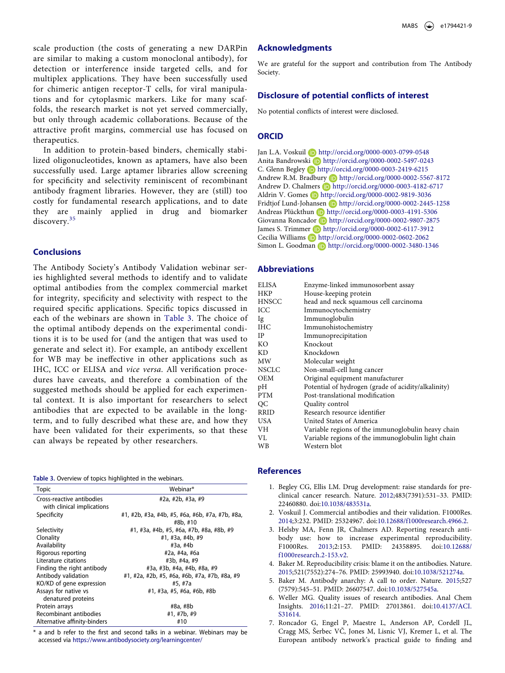scale production (the costs of generating a new DARPin are similar to making a custom monoclonal antibody), for detection or interference inside targeted cells, and for multiplex applications. They have been successfully used for chimeric antigen receptor-T cells, for viral manipulations and for cytoplasmic markers. Like for many scaffolds, the research market is not yet served commercially, but only through academic collaborations. Because of the attractive profit margins, commercial use has focused on therapeutics.

In addition to protein-based binders, chemically stabilized oligonucleotides, known as aptamers, have also been successfully used. Large aptamer libraries allow screening for specificity and selectivity reminiscent of recombinant antibody fragment libraries. However, they are (still) too costly for fundamental research applications, and to date they are mainly applied in drug and biomarker discovery.<sup>[35](#page-10-25)</sup>

# <span id="page-9-7"></span>**Conclusions**

The Antibody Society's Antibody Validation webinar series highlighted several methods to identify and to validate optimal antibodies from the complex commercial market for integrity, specificity and selectivity with respect to the required specific applications. Specific topics discussed in each of the webinars are shown in [Table 3](#page-9-6). The choice of the optimal antibody depends on the experimental conditions it is to be used for (and the antigen that was used to generate and select it). For example, an antibody excellent for WB may be ineffective in other applications such as IHC, ICC or ELISA and *vice versa*. All verification procedures have caveats, and therefore a combination of the suggested methods should be applied for each experimental context. It is also important for researchers to select antibodies that are expected to be available in the longterm, and to fully described what these are, and how they have been validated for their experiments, so that these can always be repeated by other researchers.

<span id="page-9-6"></span>

| Table 3. Overview of topics highlighted in the webinars. |  |  |  |  |  |
|----------------------------------------------------------|--|--|--|--|--|
|----------------------------------------------------------|--|--|--|--|--|

| <b>Topic</b>                                            | Webinar*                                                    |
|---------------------------------------------------------|-------------------------------------------------------------|
| Cross-reactive antibodies<br>with clinical implications | #2a, #2b, #3a, #9                                           |
| Specificity                                             | #1, #2b, #3a, #4b, #5, #6a, #6b, #7a, #7b, #8a,<br>#8b, #10 |
| Selectivity                                             | #1, #3a, #4b, #5, #6a, #7b, #8a, #8b, #9                    |
| Clonality                                               | #1, #3a, #4b, #9                                            |
| Availability                                            | #3a, #4b                                                    |
| Rigorous reporting                                      | #2a, #4a, #6a                                               |
| Literature citations                                    | #3b, #4a, #9                                                |
| Finding the right antibody                              | #3a, #3b, #4a, #4b, #8a, #9                                 |
| Antibody validation                                     | #1, #2a, #2b, #5, #6a, #6b, #7a, #7b, #8a, #9               |
| KO/KD of gene expression                                | #5, #7a                                                     |
| Assays for native vs<br>denatured proteins              | #1, #3a, #5, #6a, #6b, #8b                                  |
| Protein arrays                                          | #8a, #8b                                                    |
| Recombinant antibodies                                  | #1, #7b, #9                                                 |
| Alternative affinity-binders                            | #10                                                         |

\* a and b refer to the first and second talks in a webinar. Webinars may be accessed via <https://www.antibodysociety.org/learningcenter/>

#### **Acknowledgments**

We are grateful for the support and contribution from The Antibody Society.

# **Disclosure of potential conflicts of interest**

No potential conflicts of interest were disclosed.

#### **ORCID**

Jan L.A. Voskuil D http://orcid.org/0000-0003-0799-0548 Anita Bandrowski D http://orcid.org/0000-0002-5497-0243 C. Glenn Begley http://orcid.org/0000-0003-2419-6215 Andrew R.M. Bradbury (D http://orcid.org/0000-0002-5567-8172 Andrew D. Chalmers **http://orcid.org/0000-0003-4182-6717** Aldrin V. Gomes **b** http://orcid.org/0000-0002-9819-3036 Fridtjof Lund-Johansen D http://orcid.org/0000-0002-2445-1258 Andreas Plückthun D http://orcid.org/0000-0003-4191-5306 Giovanna Roncador D http://orcid.org/0000-0002-9807-2875 James S. Trimmer (D http://orcid.org/0000-0002-6117-3912 Cecilia Williams **b** http://orcid.org/0000-0002-0602-2062 Simon L. Goodman D http://orcid.org/0000-0002-3480-1346

#### **Abbreviations**

| ELISA        | Enzyme-linked immunosorbent assay                   |
|--------------|-----------------------------------------------------|
| <b>HKP</b>   | House-keeping protein                               |
| <b>HNSCC</b> | head and neck squamous cell carcinoma               |
|              |                                                     |
| ICC          | Immunocytochemistry                                 |
| 1g           | Immunoglobulin                                      |
| <b>IHC</b>   | Immunohistochemistry                                |
| IP           | Immunoprecipitation                                 |
| KO           | Knockout                                            |
| KD           | Knockdown                                           |
| MW           | Molecular weight                                    |
| <b>NSCLC</b> | Non-small-cell lung cancer                          |
| <b>OEM</b>   | Original equipment manufacturer                     |
| pH           | Potential of hydrogen (grade of acidity/alkalinity) |
| <b>PTM</b>   | Post-translational modification                     |
| OС           | Quality control                                     |
| <b>RRID</b>  | Research resource identifier                        |
| <b>USA</b>   | United States of America                            |
| VН           | Variable regions of the immunoglobulin heavy chain  |
| VL           | Variable regions of the immunoglobulin light chain  |
| WB           | Western blot                                        |

#### **References**

- <span id="page-9-0"></span>1. Begley CG, Ellis LM. Drug development: raise standards for preclinical cancer research. Nature. [2012;](#page-1-9)483(7391):531–33. PMID: 22460880. doi:[10.1038/483531a.](https://doi.org/10.1038/483531a)
- <span id="page-9-1"></span>2. Voskuil J. Commercial antibodies and their validation. F1000Res. [2014;](#page-1-10)3:232. PMID: 25324967. doi:[10.12688/f1000research.4966.2](https://doi.org/10.12688/f1000research.4966.2).
- <span id="page-9-2"></span>3. Helsby MA, Fenn JR, Chalmers AD. Reporting research antibody use: how to increase experimental reproducibility. F1000Res. [2013](#page-1-10);2:153. PMID: 24358895. doi:[10.12688/](https://doi.org/10.12688/f1000research.2-153.v2) [f1000research.2-153.v2.](https://doi.org/10.12688/f1000research.2-153.v2)
- <span id="page-9-3"></span>4. Baker M. Reproducibility crisis: blame it on the antibodies. Nature. [2015;](#page-1-11)521(7552):274–76. PMID: 25993940. doi:[10.1038/521274a](https://doi.org/10.1038/521274a).
- 5. Baker M. Antibody anarchy: A call to order. Nature. 2015;527 (7579):545–51. PMID: 26607547. doi:[10.1038/527545a.](https://doi.org/10.1038/527545a)
- <span id="page-9-4"></span>6. Weller MG. Quality issues of research antibodies. Anal Chem Insights. [2016;](#page-1-11)11:21–27. PMID: 27013861. doi:[10.4137/ACI.](https://doi.org/10.4137/ACI.S31614)  [S31614.](https://doi.org/10.4137/ACI.S31614)
- <span id="page-9-5"></span>7. Roncador G, Engel P, Maestre L, Anderson AP, Cordell JL, Cragg MS, Šerbec VČ, Jones M, Lisnic VJ, Kremer L, et al. The European antibody network's practical guide to finding and